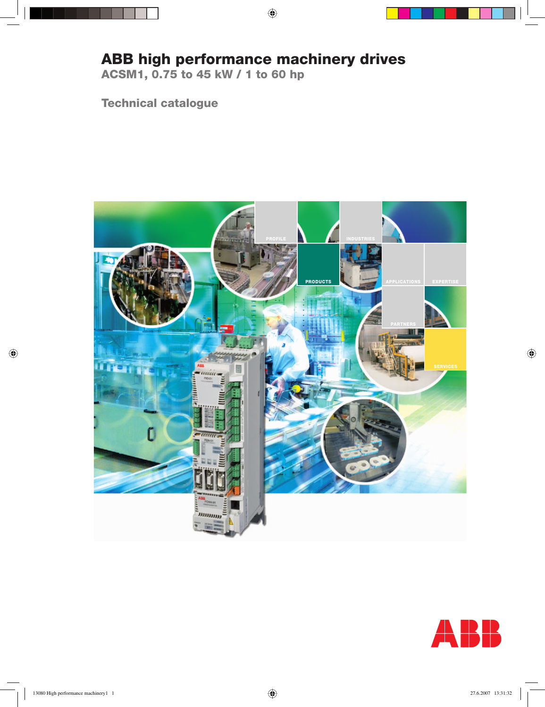# **ABB high performance machinery drives**

**ACSM1, 0.75 to 45 kW / 1 to 60 hp**

**Technical catalogue**



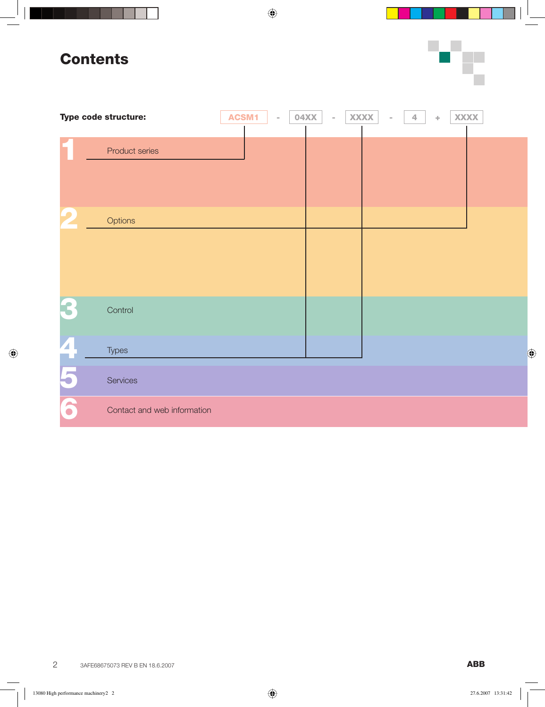# **Contents**



|                          | Type code structure:        | <b>ACSM1</b><br>$\equiv$ | 04XX | <b>XXXX</b><br>$\bar{a}$ | $\overline{4}$ | <b>XXXX</b><br>$\Phi$ |  |
|--------------------------|-----------------------------|--------------------------|------|--------------------------|----------------|-----------------------|--|
|                          | Product series              |                          |      |                          |                |                       |  |
| $\blacktriangleright$    | Options                     |                          |      |                          |                |                       |  |
|                          | Control                     |                          |      |                          |                |                       |  |
| $\overline{\phantom{a}}$ | <b>Types</b>                |                          |      |                          |                |                       |  |
| $\blacktriangleright$    | Services                    |                          |      |                          |                |                       |  |
| 6                        | Contact and web information |                          |      |                          |                |                       |  |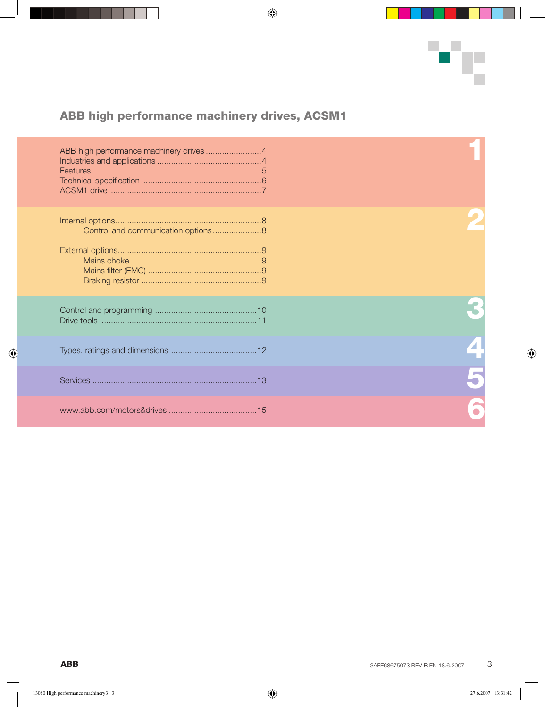

## **ABB high performance machinery drives, ACSM1**

| ABB high performance machinery drives 4 |  |
|-----------------------------------------|--|
| Control and communication options8      |  |
|                                         |  |
|                                         |  |
|                                         |  |
|                                         |  |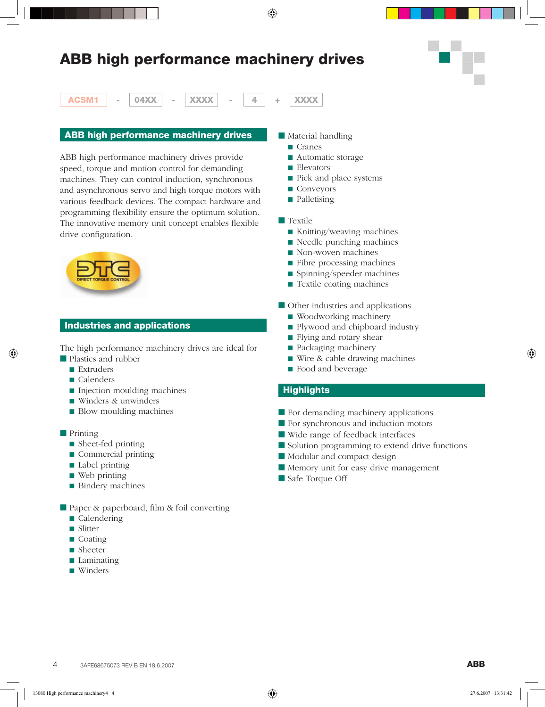# **ABB high performance machinery drives**



**ACSM1 - 04XX - XXXX - 4 + XXXX**

#### **ABB high performance machinery drives**

ABB high performance machinery drives provide speed, torque and motion control for demanding machines. They can control induction, synchronous and asynchronous servo and high torque motors with various feedback devices. The compact hardware and programming flexibility ensure the optimum solution. The innovative memory unit concept enables flexible drive configuration.



### **Industries and applications**

The high performance machinery drives are ideal for

- Plastics and rubber
	- Extruders
	- Calenders
	- Injection moulding machines
	- Winders & unwinders
	- Blow moulding machines
- Printing
	- Sheet-fed printing
	- Commercial printing
	- Label printing
	- Web printing
	- Bindery machines
- Paper & paperboard, film & foil converting
	- Calendering
	- Slitter
	- Coating
	- Sheeter
	- Laminating
	- Winders
- Material handling
	- Cranes
	- Automatic storage
	- Elevators
	- Pick and place systems
	- Conveyors
	- Palletising
- Textile
	- Knitting/weaving machines
	- Needle punching machines
	- Non-woven machines
	- Fibre processing machines
	- Spinning/speeder machines
	- Textile coating machines
- Other industries and applications
	- Woodworking machinery
	- Plywood and chipboard industry
	- Flying and rotary shear
	- Packaging machinery
	- Wire & cable drawing machines
	- Food and beverage

#### **Highlights**

- For demanding machinery applications
- For synchronous and induction motors
- Wide range of feedback interfaces
- Solution programming to extend drive functions
- Modular and compact design
- Memory unit for easy drive management
- Safe Torque Off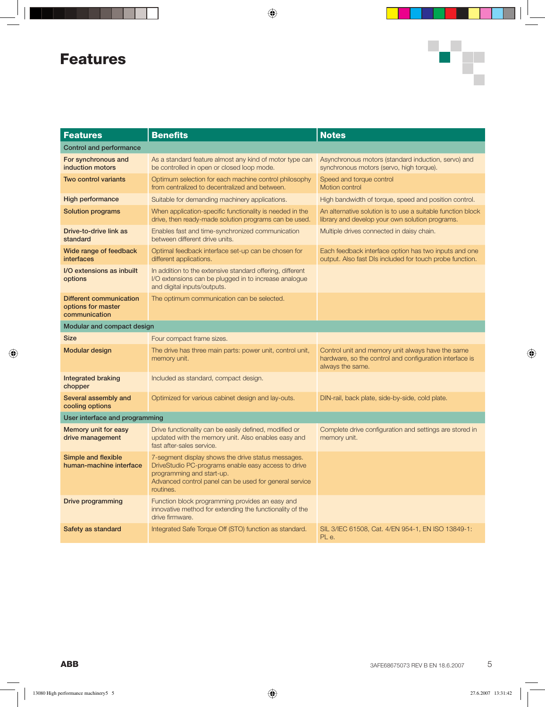# **Features**



| <b>Features</b>                                                | <b>Benefits</b>                                                                                                                                                                                               | <b>Notes</b>                                                                                                                     |  |  |
|----------------------------------------------------------------|---------------------------------------------------------------------------------------------------------------------------------------------------------------------------------------------------------------|----------------------------------------------------------------------------------------------------------------------------------|--|--|
| <b>Control and performance</b>                                 |                                                                                                                                                                                                               |                                                                                                                                  |  |  |
| For synchronous and<br>induction motors                        | As a standard feature almost any kind of motor type can<br>be controlled in open or closed loop mode.                                                                                                         | Asynchronous motors (standard induction, servo) and<br>synchronous motors (servo, high torque).                                  |  |  |
| <b>Two control variants</b>                                    | Optimum selection for each machine control philosophy<br>from centralized to decentralized and between.                                                                                                       | Speed and torque control<br>Motion control                                                                                       |  |  |
| High performance                                               | Suitable for demanding machinery applications.                                                                                                                                                                | High bandwidth of torque, speed and position control.                                                                            |  |  |
| <b>Solution programs</b>                                       | When application-specific functionality is needed in the<br>drive, then ready-made solution programs can be used.                                                                                             | An alternative solution is to use a suitable function block<br>library and develop your own solution programs.                   |  |  |
| Drive-to-drive link as<br>standard                             | Enables fast and time-synchronized communication<br>between different drive units.                                                                                                                            | Multiple drives connected in daisy chain.                                                                                        |  |  |
| Wide range of feedback<br><b>interfaces</b>                    | Optimal feedback interface set-up can be chosen for<br>different applications.                                                                                                                                | Each feedback interface option has two inputs and one<br>output. Also fast DIs included for touch probe function.                |  |  |
| I/O extensions as inbuilt<br>options                           | In addition to the extensive standard offering, different<br>I/O extensions can be plugged in to increase analogue<br>and digital inputs/outputs.                                                             |                                                                                                                                  |  |  |
| Different communication<br>options for master<br>communication | The optimum communication can be selected.                                                                                                                                                                    |                                                                                                                                  |  |  |
| Modular and compact design                                     |                                                                                                                                                                                                               |                                                                                                                                  |  |  |
| <b>Size</b>                                                    | Four compact frame sizes.                                                                                                                                                                                     |                                                                                                                                  |  |  |
| <b>Modular design</b>                                          | The drive has three main parts: power unit, control unit,<br>memory unit.                                                                                                                                     | Control unit and memory unit always have the same<br>hardware, so the control and configuration interface is<br>always the same. |  |  |
| <b>Integrated braking</b><br>chopper                           | Included as standard, compact design.                                                                                                                                                                         |                                                                                                                                  |  |  |
| Several assembly and<br>cooling options                        | Optimized for various cabinet design and lay-outs.                                                                                                                                                            | DIN-rail, back plate, side-by-side, cold plate.                                                                                  |  |  |
| User interface and programming                                 |                                                                                                                                                                                                               |                                                                                                                                  |  |  |
| Memory unit for easy<br>drive management                       | Drive functionality can be easily defined, modified or<br>updated with the memory unit. Also enables easy and<br>fast after-sales service.                                                                    | Complete drive configuration and settings are stored in<br>memory unit.                                                          |  |  |
| Simple and flexible<br>human-machine interface                 | 7-segment display shows the drive status messages.<br>DriveStudio PC-programs enable easy access to drive<br>programming and start-up.<br>Advanced control panel can be used for general service<br>routines. |                                                                                                                                  |  |  |
| Drive programming                                              | Function block programming provides an easy and<br>innovative method for extending the functionality of the<br>drive firmware.                                                                                |                                                                                                                                  |  |  |
| Safety as standard                                             | Integrated Safe Torque Off (STO) function as standard.                                                                                                                                                        | SIL 3/IEC 61508, Cat. 4/EN 954-1, EN ISO 13849-1:<br>PL e.                                                                       |  |  |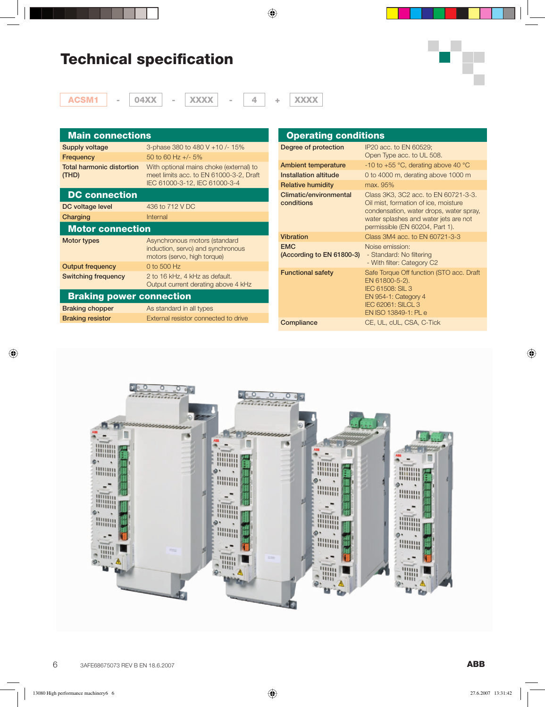# **Technical specification**



| $\equiv$ | 04XX | $\sim$ | <b>XXX</b><br>гχ. |  | $-1$<br>x<br>жх |
|----------|------|--------|-------------------|--|-----------------|

| <b>Main connections</b>            |                                                                                                                     |
|------------------------------------|---------------------------------------------------------------------------------------------------------------------|
| Supply voltage                     | 3-phase 380 to 480 V +10 /- 15%                                                                                     |
| Frequency                          | 50 to 60 Hz $+/-$ 5%                                                                                                |
| Total harmonic distortion<br>(THD) | With optional mains choke (external) to<br>meet limits acc. to EN 61000-3-2, Draft<br>IEC 61000-3-12, IEC 61000-3-4 |
| <b>DC</b> connection               |                                                                                                                     |
| DC voltage level                   | 436 to 712 V DC                                                                                                     |
| Charging                           | Internal                                                                                                            |
| <b>Motor connection</b>            |                                                                                                                     |
| <b>Motor types</b>                 | Asynchronous motors (standard<br>induction, servo) and synchronous<br>motors (servo, high torque)                   |
| <b>Output frequency</b>            | 0 to 500 Hz                                                                                                         |
| Switching frequency                | 2 to 16 kHz, 4 kHz as default.<br>Output current derating above 4 kHz                                               |
| <b>Braking power connection</b>    |                                                                                                                     |
| <b>Braking chopper</b>             | As standard in all types                                                                                            |
| <b>Braking resistor</b>            | External resistor connected to drive                                                                                |

| <b>Operating conditions</b>             |                                                                                                                                                                                                     |
|-----------------------------------------|-----------------------------------------------------------------------------------------------------------------------------------------------------------------------------------------------------|
| Degree of protection                    | IP20 acc. to EN 60529;<br>Open Type acc. to UL 508.                                                                                                                                                 |
| <b>Ambient temperature</b>              | -10 to +55 $^{\circ}$ C, derating above 40 $^{\circ}$ C                                                                                                                                             |
| Installation altitude                   | 0 to 4000 m, derating above 1000 m                                                                                                                                                                  |
| <b>Relative humidity</b>                | max. 95%                                                                                                                                                                                            |
| Climatic/environmental<br>conditions    | Class 3K3, 3C2 acc. to EN 60721-3-3.<br>Oil mist, formation of ice, moisture<br>condensation, water drops, water spray,<br>water splashes and water jets are not<br>permissible (EN 60204, Part 1). |
| <b>Vibration</b>                        | Class 3M4 acc. to EN 60721-3-3                                                                                                                                                                      |
| <b>EMC</b><br>(According to EN 61800-3) | Noise emission:<br>- Standard: No filtering<br>- With filter: Category C2                                                                                                                           |
| <b>Functional safety</b>                | Safe Torque Off function (STO acc. Draft<br>EN 61800-5-2).<br>IEC 61508: SIL 3<br>EN 954-1: Category 4<br><b>IEC 62061: SILCL 3</b><br>EN ISO 13849-1: PL e                                         |
| Compliance                              | CE, UL, cUL, CSA, C-Tick                                                                                                                                                                            |

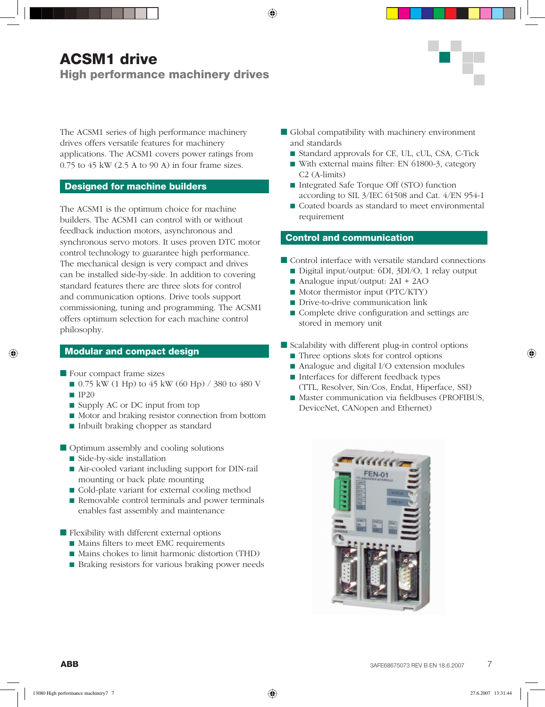## **ACSM1 drive High performance machinery drives**



The ACSM1 series of high performance machinery drives offers versatile features for machinery applications. The ACSM1 covers power ratings from 0.75 to 45 kW (2.5 A to 90 A) in four frame sizes.

### **Designed for machine builders**

The ACSM1 is the optimum choice for machine builders. The ACSM1 can control with or without feedback induction motors, asynchronous and synchronous servo motors. It uses proven DTC motor control technology to guarantee high performance. The mechanical design is very compact and drives can be installed side-by-side. In addition to covering standard features there are three slots for control and communication options. Drive tools support commissioning, tuning and programming. The ACSM1 offers optimum selection for each machine control philosophy.

### **Modular and compact design**

- Four compact frame sizes
	- 0.75 kW (1 Hp) to 45 kW (60 Hp) / 380 to 480 V
	- $\blacksquare$  IP20
	- Supply AC or DC input from top
	- Motor and braking resistor connection from bottom
	- Inbuilt braking chopper as standard
- Optimum assembly and cooling solutions
	- Side-by-side installation
	- Air-cooled variant including support for DIN-rail mounting or back plate mounting
	- Cold-plate variant for external cooling method
	- Removable control terminals and power terminals enables fast assembly and maintenance

■ Flexibility with different external options

- Mains filters to meet EMC requirements
- Mains chokes to limit harmonic distortion (THD)
- Braking resistors for various braking power needs
- Global compatibility with machinery environment and standards
	- Standard approvals for CE, UL, cUL, CSA, C-Tick
	- With external mains filter: EN 61800-3, category C2 (A-limits)
	- Integrated Safe Torque Off (STO) function according to SIL 3/IEC 61508 and Cat. 4/EN 954-1
	- Coated boards as standard to meet environmental requirement

### **Control and communication**

- Control interface with versatile standard connections
	- Digital input/output: 6DI, 3DI/O, 1 relay output
	- Analogue input/output: 2AI + 2AO
	- Motor thermistor input (PTC/KTY)
	- Drive-to-drive communication link
	- Complete drive configuration and settings are stored in memory unit
- Scalability with different plug-in control options
	- Three options slots for control options
	- Analogue and digital I/O extension modules
	- Interfaces for different feedback types (TTL, Resolver, Sin/Cos, Endat, Hiperface, SSI)
	- Master communication via fieldbuses (PROFIBUS, DeviceNet, CANopen and Ethernet)

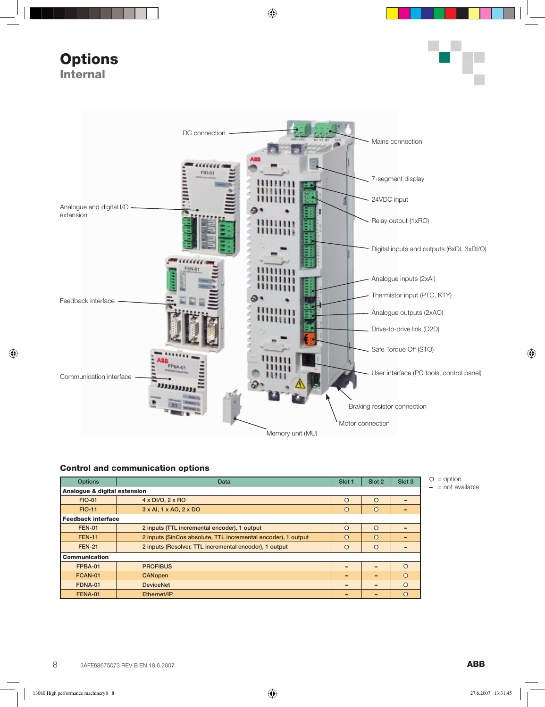**Options Internal**





#### **Control and communication options**

| <b>Options</b>               | Data                                                          | Slot 1   | Slot 2   | Slot <sub>3</sub> |  |  |  |  |
|------------------------------|---------------------------------------------------------------|----------|----------|-------------------|--|--|--|--|
| Analogue & digital extension |                                                               |          |          |                   |  |  |  |  |
| <b>FIO-01</b>                | 4 x DI/O, 2 x RO                                              | $\Omega$ | $\Omega$ | -                 |  |  |  |  |
| <b>FIO-11</b>                | $3 \times$ Al, $1 \times$ AO, $2 \times$ DO                   | $\circ$  | $\circ$  | -                 |  |  |  |  |
|                              | <b>Feedback interface</b>                                     |          |          |                   |  |  |  |  |
| <b>FEN-01</b>                | 2 inputs (TTL incremental encoder), 1 output                  | $\Omega$ | $\Omega$ | -                 |  |  |  |  |
| <b>FEN-11</b>                | 2 inputs (SinCos absolute, TTL incremental encoder), 1 output | $\circ$  | $\circ$  | -                 |  |  |  |  |
| <b>FEN-21</b>                | 2 inputs (Resolver, TTL incremental encoder), 1 output        | $\circ$  | $\circ$  | -                 |  |  |  |  |
| <b>Communication</b>         |                                                               |          |          |                   |  |  |  |  |
| FPBA-01                      | <b>PROFIBUS</b>                                               |          |          | $\Omega$          |  |  |  |  |
| FCAN-01                      | <b>CANopen</b>                                                |          |          | $\circ$           |  |  |  |  |
| FDNA-01                      | <b>DeviceNet</b>                                              | -        | -        | $\circ$           |  |  |  |  |
| <b>FENA-01</b>               | Ethernet/IP                                                   |          |          | $\Omega$          |  |  |  |  |

 $O =$  option **–** = not available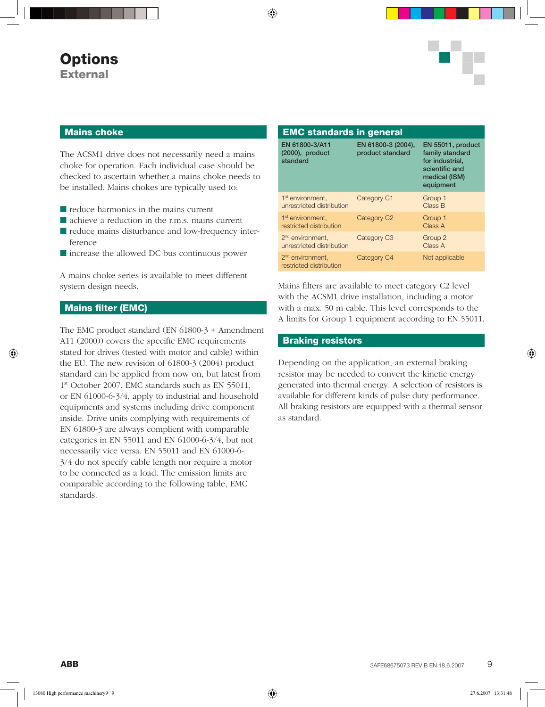

#### **Mains choke**

The ACSM1 drive does not necessarily need a mains choke for operation. Each individual case should be checked to ascertain whether a mains choke needs to be installed. Mains chokes are typically used to:

- reduce harmonics in the mains current
- achieve a reduction in the r.m.s. mains current
- reduce mains disturbance and low-frequency interference
- increase the allowed DC bus continuous power

A mains choke series is available to meet different system design needs.

### **Mains filter (EMC)**

The EMC product standard (EN 61800-3 + Amendment A11 (2000)) covers the specific EMC requirements stated for drives (tested with motor and cable) within the EU. The new revision of 61800-3 (2004) product standard can be applied from now on, but latest from 1<sup>st</sup> October 2007. EMC standards such as EN 55011, or EN 61000-6-3/4, apply to industrial and household equipments and systems including drive component inside. Drive units complying with requirements of EN 61800-3 are always complient with comparable categories in EN 55011 and EN 61000-6-3/4, but not necessarily vice versa. EN 55011 and EN 61000-6- 3/4 do not specify cable length nor require a motor to be connected as a load. The emission limits are comparable according to the following table, EMC standards.

| <b>EMC standards in general</b>                           |                                        |                                                                                                         |
|-----------------------------------------------------------|----------------------------------------|---------------------------------------------------------------------------------------------------------|
| EN 61800-3/A11<br>$(2000)$ , product<br>standard          | EN 61800-3 (2004),<br>product standard | EN 55011, product<br>family standard<br>for industrial,<br>scientific and<br>medical (ISM)<br>equipment |
| 1 <sup>st</sup> environment.<br>unrestricted distribution | Category C1                            | Group 1<br>Class B                                                                                      |
| 1 <sup>st</sup> environment.<br>restricted distribution   | Category C <sub>2</sub>                | Group 1<br>Class A                                                                                      |
| 2 <sup>nd</sup> environment,<br>unrestricted distribution | Category C <sub>3</sub>                | Group 2<br>Class A                                                                                      |
| 2 <sup>nd</sup> environment.<br>restricted distribution   | Category C4                            | Not applicable                                                                                          |

Mains filters are available to meet category C2 level with the ACSM1 drive installation, including a motor with a max. 50 m cable. This level corresponds to the A limits for Group 1 equipment according to EN 55011.

#### **Braking resistors**

Depending on the application, an external braking resistor may be needed to convert the kinetic energy generated into thermal energy. A selection of resistors is available for different kinds of pulse duty performance. All braking resistors are equipped with a thermal sensor as standard.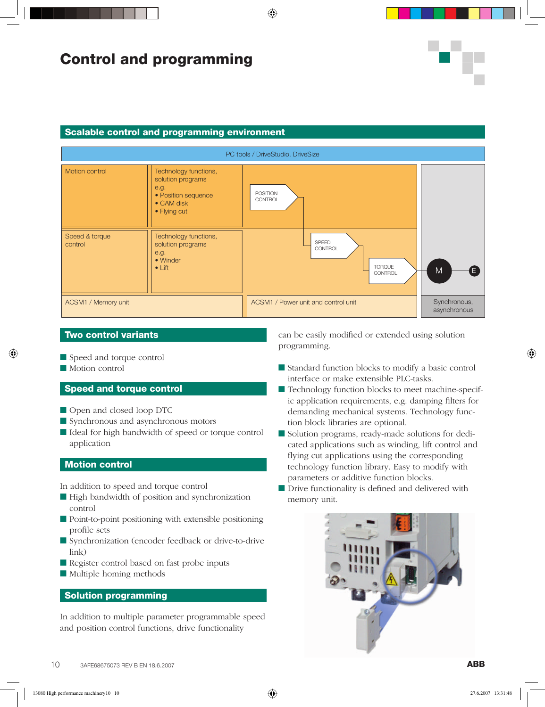# **Control and programming**

#### **Scalable control and programming environment**



### **Two control variants**

- Speed and torque control
- Motion control

### **Speed and torque control**

- Open and closed loop DTC
- Synchronous and asynchronous motors
- Ideal for high bandwidth of speed or torque control application

### **Motion control**

In addition to speed and torque control

- High bandwidth of position and synchronization control
- Point-to-point positioning with extensible positioning profile sets
- Synchronization (encoder feedback or drive-to-drive link)
- Register control based on fast probe inputs
- Multiple homing methods

### **Solution programming**

In addition to multiple parameter programmable speed and position control functions, drive functionality

can be easily modified or extended using solution programming.

- Standard function blocks to modify a basic control interface or make extensible PLC-tasks.
- Technology function blocks to meet machine-specific application requirements, e.g. damping filters for demanding mechanical systems. Technology function block libraries are optional.
- Solution programs, ready-made solutions for dedicated applications such as winding, lift control and flying cut applications using the corresponding technology function library. Easy to modify with parameters or additive function blocks.
- Drive functionality is defined and delivered with memory unit.

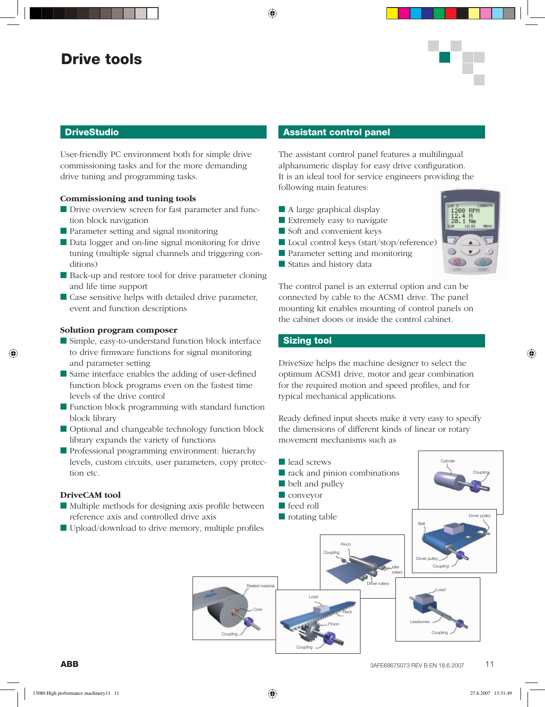## **Drive tools**

### **DriveStudio**

User-friendly PC environment both for simple drive commissioning tasks and for the more demanding drive tuning and programming tasks.

#### **Commissioning and tuning tools**

- Drive overview screen for fast parameter and function block navigation
- Parameter setting and signal monitoring
- Data logger and on-line signal monitoring for drive tuning (multiple signal channels and triggering conditions)
- Back-up and restore tool for drive parameter cloning and life time support
- Case sensitive helps with detailed drive parameter, event and function descriptions

#### **Solution program composer**

- Simple, easy-to-understand function block interface to drive firmware functions for signal monitoring and parameter setting
- Same interface enables the adding of user-defined function block programs even on the fastest time levels of the drive control
- Function block programming with standard function block library
- Optional and changeable technology function block library expands the variety of functions
- Professional programming environment: hierarchy levels, custom circuits, user parameters, copy protection etc.

#### **DriveCAM tool**

- Multiple methods for designing axis profile between reference axis and controlled drive axis
- Upload/download to drive memory, multiple profiles

#### **Assistant control panel**

The assistant control panel features a multilingual alphanumeric display for easy drive configuration. It is an ideal tool for service engineers providing the following main features:

- A large graphical display
- Extremely easy to navigate
- Soft and convenient keys
- Local control keys (start/stop/reference)
- Parameter setting and monitoring
- Status and history data



The control panel is an external option and can be connected by cable to the ACSM1 drive. The panel mounting kit enables mounting of control panels on the cabinet doors or inside the control cabinet.

### **Sizing tool**

Coupling

Coupling

DriveSize helps the machine designer to select the optimum ACSM1 drive, motor and gear combination for the required motion and speed profiles, and for typical mechanical applications.

Ready defined input sheets make it very easy to specify the dimensions of different kinds of linear or rotary movement mechanisms such as

Pinch **Coupling** Idler rollers Driver rollers Coupling **Cylinder** Coupling Driver pulley Belt Driver pulley Leadscrew Load Load Pinion **Rack** Core ed materia ■ lead screws ■ rack and pinion combinations ■ belt and pulley ■ conveyor ■ feed roll ■ rotating table

Coupling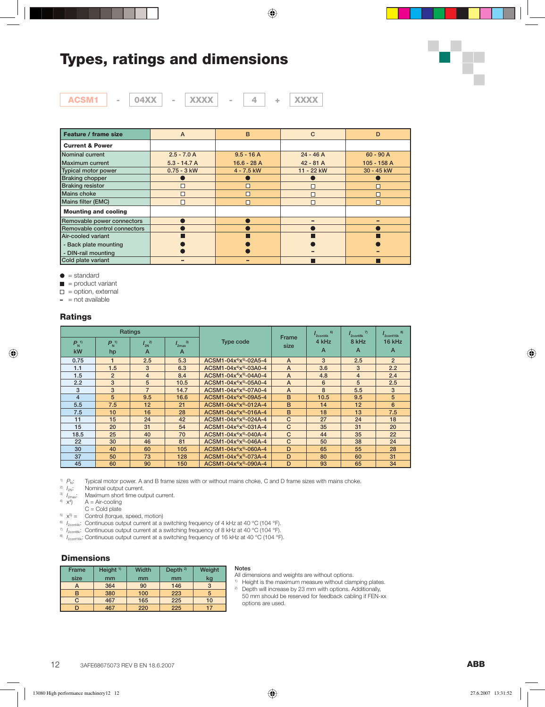# **Types, ratings and dimensions**



| AGSM1 | 04XX | $ -$ | XXXX |  | <b>XXXX</b> |
|-------|------|------|------|--|-------------|

| Feature / frame size         | A              | B            | C           | D           |
|------------------------------|----------------|--------------|-------------|-------------|
| <b>Current &amp; Power</b>   |                |              |             |             |
| Nominal current              | $2.5 - 7.0 A$  | $9.5 - 16A$  | $24 - 46A$  | $60 - 90 A$ |
| Maximum current              | $5.3 - 14.7 A$ | $16.6 - 28A$ | $42 - 81$ A | 105 - 158 A |
| Typical motor power          | $0.75 - 3$ kW  | $4 - 7.5$ kW | 11 - 22 kW  | 30 - 45 kW  |
| <b>Braking chopper</b>       |                |              |             |             |
| <b>Braking resistor</b>      |                | □            |             |             |
| Mains choke                  |                | П            |             |             |
| Mains filter (EMC)           |                | П            | $\Box$      |             |
| <b>Mounting and cooling</b>  |                |              |             |             |
| Removable power connectors   |                |              |             |             |
| Removable control connectors |                |              |             |             |
| Air-cooled variant           |                |              |             |             |
| - Back plate mounting        |                |              |             |             |
| - DIN-rail mounting          |                |              |             |             |
| Cold plate variant           |                |              |             |             |

 $\bullet$  = standard

 $\blacksquare$  = product variant

 $\square$  = option, external

**–** = not available

#### **Ratings**

|                            |                     | <b>Ratings</b>                  |                                           |                                                 |                | 6)<br>$r_{2\text{cont4k}}$ | $\overline{7}$<br>2cont8k | 8)<br>2cont16k |
|----------------------------|---------------------|---------------------------------|-------------------------------------------|-------------------------------------------------|----------------|----------------------------|---------------------------|----------------|
| $P_{N}^{(1)}$<br><b>kW</b> | $P_{N}^{(1)}$<br>hp | $I_{2N}^{2)}$<br>$\overline{A}$ | 3)<br>$I_{2\text{max}}$<br>$\overline{A}$ | <b>Type code</b>                                | Frame<br>size  | 4 kHz<br>A                 | 8 kHz<br>$\overline{A}$   | 16 kHz<br>A    |
| 0.75                       | 1                   | 2.5                             | 5.3                                       | ACSM1-04x <sup>4)</sup> x <sup>5</sup> -02A5-4  | $\mathsf{A}$   | 3                          | 2.5                       | $\overline{2}$ |
| 1.1                        | 1.5                 | 3                               | 6.3                                       | $ACSM1 - 04x^{4}x^{5} - 03A0 - 4$               | $\mathsf{A}$   | 3.6                        | 3                         | 2.2            |
| 1.5                        | $\overline{2}$      | $\overline{4}$                  | 8.4                                       | ACSM1-04x <sup>4)</sup> x <sup>5)</sup> -04A0-4 | $\overline{A}$ | 4.8                        | $\overline{4}$            | 2.4            |
| 2.2                        | 3                   | 5                               | 10.5                                      | ACSM1-04x <sup>4)</sup> x <sup>5)</sup> -05A0-4 | $\overline{A}$ | 6                          | 5                         | 2.5            |
| 3                          | 3                   | $\overline{7}$                  | 14.7                                      | $ACSM1 - 04x^{4}x^{5} - 07A0 - 4$               | A              | 8                          | 5.5                       | 3              |
| $\overline{4}$             | 5                   | 9.5                             | 16.6                                      | ACSM1-04 $x^{4}$ $x^{5}$ -09A5-4                | B              | 10.5                       | 9.5                       | 5              |
| 5.5                        | 7.5                 | 12                              | 21                                        | ACSM1-04x <sup>4)</sup> x <sup>5)</sup> -012A-4 | B              | 14                         | 12                        | 6              |
| 7.5                        | 10                  | 16                              | 28                                        | $ACSM1 - 04x^{4}x^{5}-016A-4$                   | B              | 18                         | 13                        | 7.5            |
| 11                         | 15                  | 24                              | 42                                        | ACSM1-04x <sup>4)</sup> x <sup>5</sup> -024A-4  | $\mathsf{C}$   | 27                         | 24                        | 18             |
| 15                         | 20                  | 31                              | 54                                        | $ACSM1 - 04x^{4}x^{5} - 031A - 4$               | $\mathsf{C}$   | 35                         | 31                        | 20             |
| 18.5                       | 25                  | 40                              | 70                                        | $ACSM1 - 04x^{4}x^{5} - 040A - 4$               | $\mathsf{C}$   | 44                         | 35                        | 22             |
| 22                         | 30                  | 46                              | 81                                        | $ACSM1 - 04x^{4}x^{5} - 046A - 4$               | $\mathsf{C}$   | 50                         | 38                        | 24             |
| 30                         | 40                  | 60                              | 105                                       | $ACSM1 - 04x^{4}x^{5} - 060A - 4$               | D              | 65                         | 55                        | 28             |
| 37                         | 50                  | 73                              | 128                                       | ACSM1-04x <sup>4)</sup> x <sup>5</sup> -073A-4  | D              | 80                         | 60                        | 31             |
| 45                         | 60                  | 90                              | 150                                       | $ACSM1 - 04x^{4}x^{5} - 090A - 4$               | D              | 93                         | 65                        | 34             |

<sup>1)</sup>  $P_N$ : Typical motor power. A and B frame sizes with or without mains choke, C and D frame sizes with mains choke.

<sup>2)</sup>  $I_{2N}$ : Nominal output current.

<sup>3)</sup>  $I_{2\text{max}}$ : Maximum short time output current.<br><sup>4)</sup>  $x^4$  A = Air-cooling

- 
- $C =$  Cold plate
- $5\text{ }x^{5\text{}} =$  Control (torque, speed, motion)
- <sup>6)</sup>  $I_{2\text{cont4k}}$ : Continuous output current at a switching frequency of 4 kHz at 40 °C (104 °F).

<sup>7</sup> *I*<sub>2contak</sub>: Continuous output current at a switching frequency of 8 kHz at 40 °C (104 °F).

8) *I*<sub>2cont16k</sub>: Continuous output current at a switching frequency of 16 kHz at 40 °C (104 °F).

#### **Dimensions**

| <b>Frame</b> | Height <sup>1)</sup> | Width | Depth $2)$ | Weight |
|--------------|----------------------|-------|------------|--------|
| size         | mm                   | mm    | mm         | kg     |
| A            | 364                  | 90    | 146        | 3      |
|              | 380                  | 100   | 223        | 5      |
| C.           | 467                  | 165   | 225        | 10     |
|              | 467                  | 220   | 225        | 17     |

#### **Notes**

options are used.

All dimensions and weights are without options.

- <sup>1)</sup> Height is the maximum measure without clamping plates. <sup>2)</sup> Depth will increase by 23 mm with options. Additionally, 50 mm should be reserved for feedback cabling if FEN-xx
- 12 3AFE68675073 REV B EN 18.6.2007 **ABB**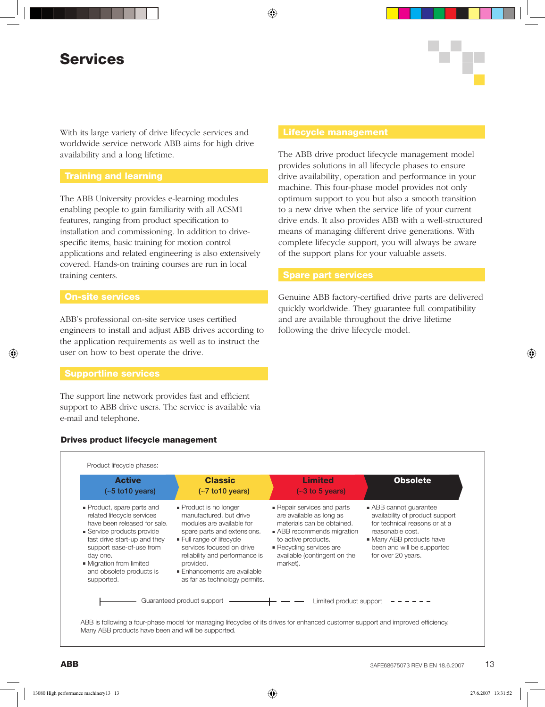# **Services**

With its large variety of drive lifecycle services and worldwide service network ABB aims for high drive availability and a long lifetime.

The ABB University provides e-learning modules enabling people to gain familiarity with all ACSM1 features, ranging from product specification to installation and commissioning. In addition to drivespecific items, basic training for motion control applications and related engineering is also extensively covered. Hands-on training courses are run in local training centers.

### **On-site services**

ABB's professional on-site service uses certified engineers to install and adjust ABB drives according to the application requirements as well as to instruct the user on how to best operate the drive.

#### **Supportline services**

The support line network provides fast and efficient support to ABB drive users. The service is available via e-mail and telephone.

### **Drives product lifecycle management**

The ABB drive product lifecycle management model provides solutions in all lifecycle phases to ensure drive availability, operation and performance in your machine. This four-phase model provides not only optimum support to you but also a smooth transition to a new drive when the service life of your current drive ends. It also provides ABB with a well-structured means of managing different drive generations. With complete lifecycle support, you will always be aware of the support plans for your valuable assets.

Genuine ABB factory-certified drive parts are delivered quickly worldwide. They guarantee full compatibility and are available throughout the drive lifetime following the drive lifecycle model.

| <b>Active</b><br>$(-5 \text{ to } 10 \text{ years})$                                                                                                                                                                                                                 | <b>Classic</b><br>$(-7 \text{ to } 10 \text{ years})$                                                                                                                                                                                                                             | <b>Limited</b><br>$(-3 \text{ to } 5 \text{ years})$                                                                                                                                                           | <b>Obsolete</b>                                                                                                                                                                              |
|----------------------------------------------------------------------------------------------------------------------------------------------------------------------------------------------------------------------------------------------------------------------|-----------------------------------------------------------------------------------------------------------------------------------------------------------------------------------------------------------------------------------------------------------------------------------|----------------------------------------------------------------------------------------------------------------------------------------------------------------------------------------------------------------|----------------------------------------------------------------------------------------------------------------------------------------------------------------------------------------------|
| • Product, spare parts and<br>related lifecycle services<br>have been released for sale.<br>• Service products provide<br>fast drive start-up and they<br>support ease-of-use from<br>day one.<br>• Migration from limited<br>and obsolete products is<br>supported. | Product is no longer<br>manufactured, but drive<br>modules are available for<br>spare parts and extensions.<br>Full range of lifecycle<br>services focused on drive<br>reliability and performance is<br>provided.<br>Enhancements are available<br>as far as technology permits. | Repair services and parts<br>are available as long as<br>materials can be obtained.<br>• ABB recommends migration<br>to active products.<br>Recycling services are<br>available (contingent on the<br>market). | ABB cannot guarantee<br>availability of product support<br>for technical reasons or at a<br>reasonable cost.<br>• Many ABB products have<br>been and will be supported<br>for over 20 years. |
|                                                                                                                                                                                                                                                                      | Guaranteed product support                                                                                                                                                                                                                                                        | Limited product support                                                                                                                                                                                        |                                                                                                                                                                                              |